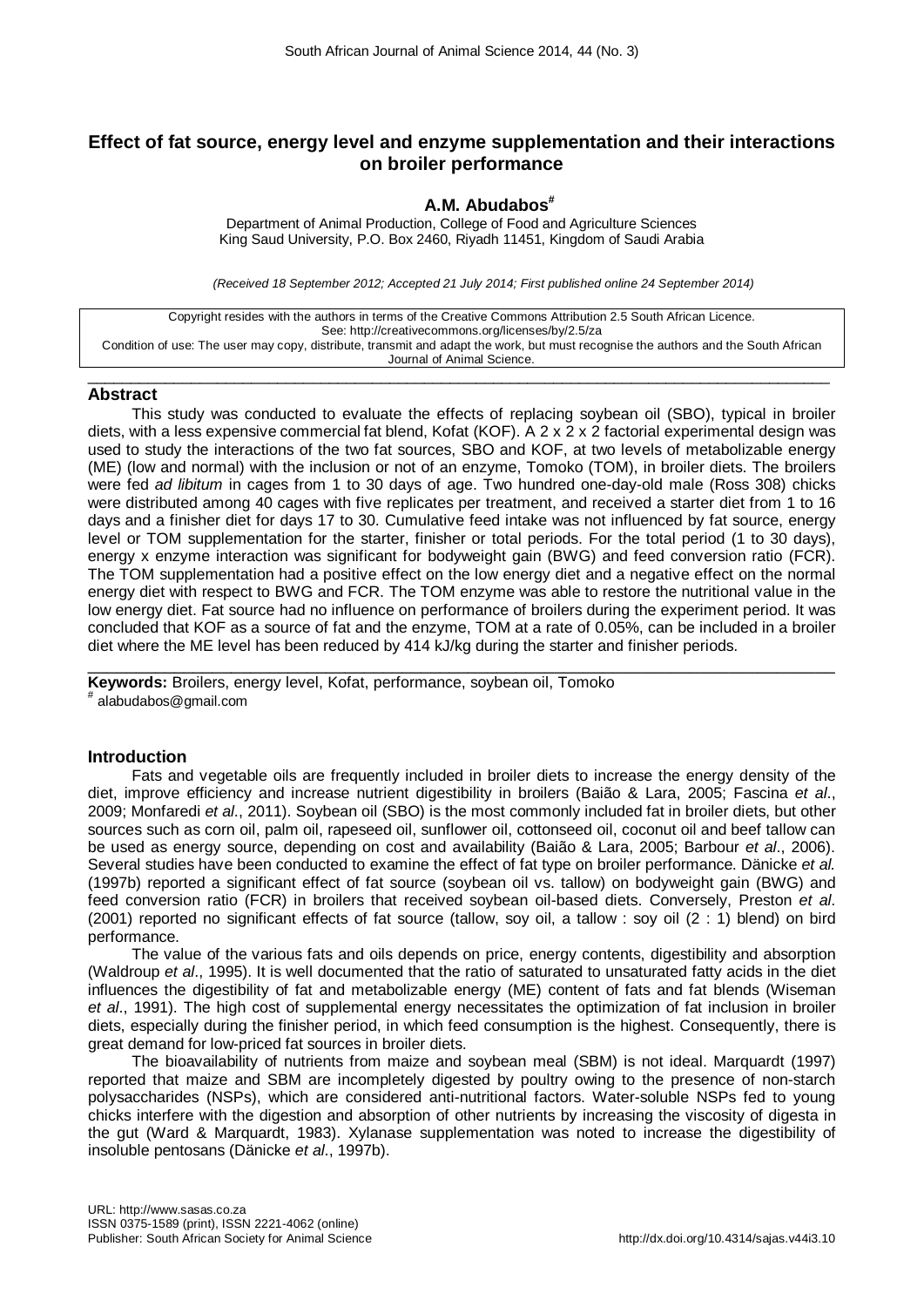# **Effect of fat source, energy level and enzyme supplementation and their interactions on broiler performance**

# **A.M. Abudabos#**

Department of Animal Production, College of Food and Agriculture Sciences King Saud University, P.O. Box 2460, Riyadh 11451, Kingdom of Saudi Arabia

*(Received 18 September 2012; Accepted 21 July 2014; First published online 24 September 2014)*

| Copyright resides with the authors in terms of the Creative Commons Attribution 2.5 South African Licence.                         |
|------------------------------------------------------------------------------------------------------------------------------------|
| See: http://creativecommons.org/licenses/by/2.5/za                                                                                 |
| Condition of use: The user may copy, distribute, transmit and adapt the work, but must recognise the authors and the South African |
| Journal of Animal Science.                                                                                                         |

 $\_$  , and the set of the set of the set of the set of the set of the set of the set of the set of the set of the set of the set of the set of the set of the set of the set of the set of the set of the set of the set of th

## **Abstract**

This study was conducted to evaluate the effects of replacing soybean oil (SBO), typical in broiler diets, with a less expensive commercial fat blend, Kofat (KOF). A 2 x 2 x 2 factorial experimental design was used to study the interactions of the two fat sources, SBO and KOF, at two levels of metabolizable energy (ME) (low and normal) with the inclusion or not of an enzyme, Tomoko (TOM), in broiler diets. The broilers were fed *ad libitum* in cages from 1 to 30 days of age. Two hundred one-day-old male (Ross 308) chicks were distributed among 40 cages with five replicates per treatment, and received a starter diet from 1 to 16 days and a finisher diet for days 17 to 30. Cumulative feed intake was not influenced by fat source, energy level or TOM supplementation for the starter, finisher or total periods. For the total period (1 to 30 days), energy x enzyme interaction was significant for bodyweight gain (BWG) and feed conversion ratio (FCR). The TOM supplementation had a positive effect on the low energy diet and a negative effect on the normal energy diet with respect to BWG and FCR. The TOM enzyme was able to restore the nutritional value in the low energy diet. Fat source had no influence on performance of broilers during the experiment period. It was concluded that KOF as a source of fat and the enzyme, TOM at a rate of 0.05%, can be included in a broiler diet where the ME level has been reduced by 414 kJ/kg during the starter and finisher periods.

\_\_\_\_\_\_\_\_\_\_\_\_\_\_\_\_\_\_\_\_\_\_\_\_\_\_\_\_\_\_\_\_\_\_\_\_\_\_\_\_\_\_\_\_\_\_\_\_\_\_\_\_\_\_\_\_\_\_\_\_\_\_\_\_\_\_\_\_\_\_\_\_\_\_\_\_\_\_ **Keywords:** Broilers, energy level, Kofat, performance, soybean oil, Tomoko # alabudabos@gmail.com

# **Introduction**

Fats and vegetable oils are frequently included in broiler diets to increase the energy density of the diet, improve efficiency and increase nutrient digestibility in broilers (Baião & Lara, 2005; Fascina *et al*., 2009; Monfaredi *et al*., 2011). Soybean oil (SBO) is the most commonly included fat in broiler diets, but other sources such as corn oil, palm oil, rapeseed oil, sunflower oil, cottonseed oil, coconut oil and beef tallow can be used as energy source, depending on cost and availability (Baião & Lara, 2005; Barbour *et al*., 2006). Several studies have been conducted to examine the effect of fat type on broiler performance. Dänicke *et al.*  (1997b) reported a significant effect of fat source (soybean oil vs. tallow) on bodyweight gain (BWG) and feed conversion ratio (FCR) in broilers that received soybean oil-based diets. Conversely, Preston *et al*. (2001) reported no significant effects of fat source (tallow, soy oil, a tallow : soy oil (2 : 1) blend) on bird performance.

The value of the various fats and oils depends on price, energy contents, digestibility and absorption (Waldroup *et al*., 1995). It is well documented that the ratio of saturated to unsaturated fatty acids in the diet influences the digestibility of fat and metabolizable energy (ME) content of fats and fat blends (Wiseman *et al*., 1991). The high cost of supplemental energy necessitates the optimization of fat inclusion in broiler diets, especially during the finisher period, in which feed consumption is the highest. Consequently, there is great demand for low-priced fat sources in broiler diets.

The bioavailability of nutrients from maize and soybean meal (SBM) is not ideal. Marquardt (1997) reported that maize and SBM are incompletely digested by poultry owing to the presence of non-starch polysaccharides (NSPs), which are considered anti-nutritional factors. Water-soluble NSPs fed to young chicks interfere with the digestion and absorption of other nutrients by increasing the viscosity of digesta in the gut (Ward & Marquardt, 1983). Xylanase supplementation was noted to increase the digestibility of insoluble pentosans (Dänicke *et al*., 1997b).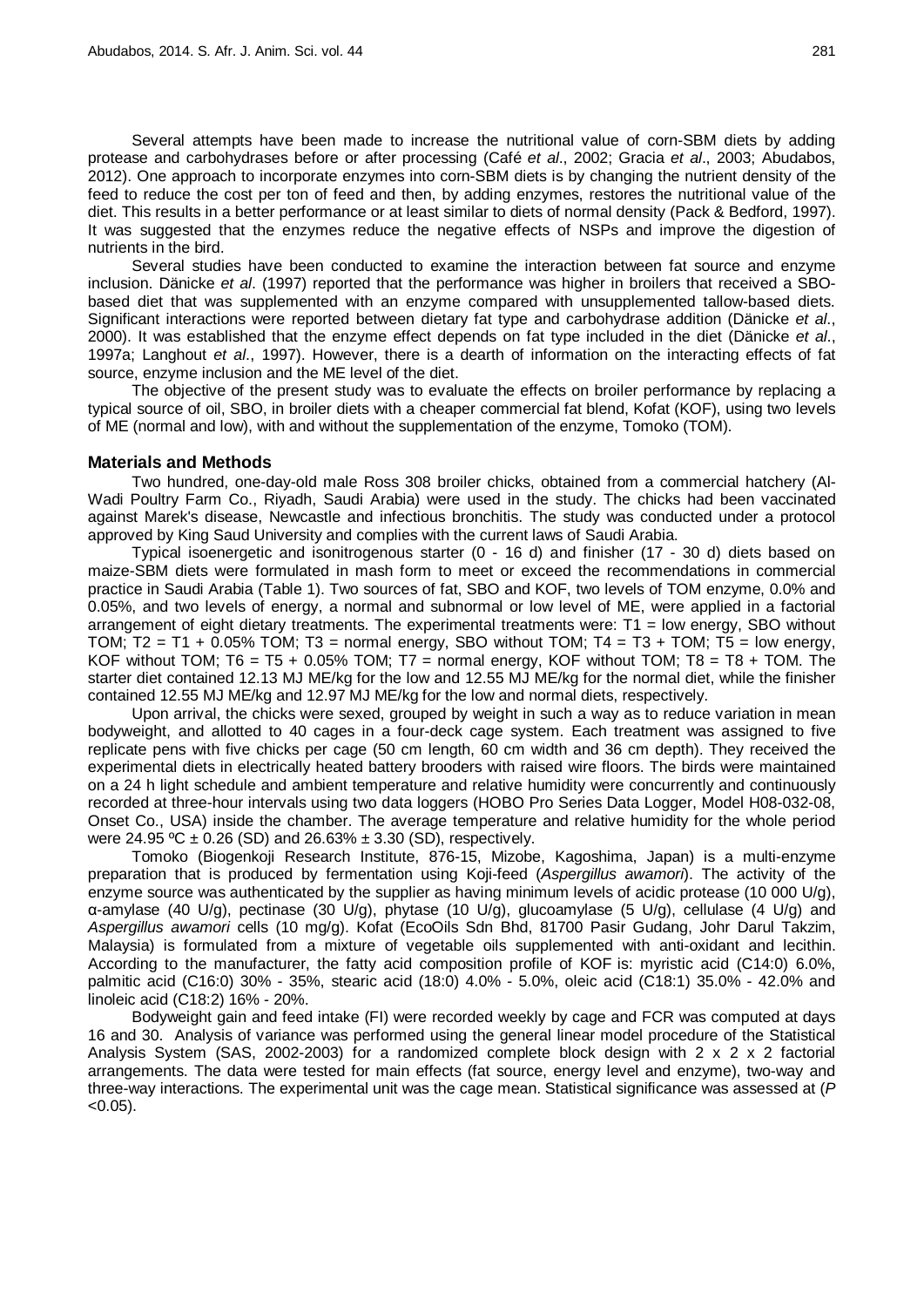Several attempts have been made to increase the nutritional value of corn-SBM diets by adding protease and carbohydrases before or after processing (Café *et al*., 2002; Gracia *et al*., 2003; Abudabos, 2012). One approach to incorporate enzymes into corn-SBM diets is by changing the nutrient density of the feed to reduce the cost per ton of feed and then, by adding enzymes, restores the nutritional value of the diet. This results in a better performance or at least similar to diets of normal density (Pack & Bedford, 1997). It was suggested that the enzymes reduce the negative effects of NSPs and improve the digestion of nutrients in the bird.

Several studies have been conducted to examine the interaction between fat source and enzyme inclusion. Dänicke *et al*. (1997) reported that the performance was higher in broilers that received a SBObased diet that was supplemented with an enzyme compared with unsupplemented tallow-based diets. Significant interactions were reported between dietary fat type and carbohydrase addition (Dänicke *et al*., 2000). It was established that the enzyme effect depends on fat type included in the diet (Dänicke *et al*., 1997a; Langhout *et al*., 1997). However, there is a dearth of information on the interacting effects of fat source, enzyme inclusion and the ME level of the diet.

The objective of the present study was to evaluate the effects on broiler performance by replacing a typical source of oil, SBO, in broiler diets with a cheaper commercial fat blend, Kofat (KOF), using two levels of ME (normal and low), with and without the supplementation of the enzyme, Tomoko (TOM).

### **Materials and Methods**

Two hundred, one-day-old male Ross 308 broiler chicks, obtained from a commercial hatchery (Al-Wadi Poultry Farm Co., Riyadh, Saudi Arabia) were used in the study. The chicks had been vaccinated against Marek's disease, Newcastle and infectious bronchitis. The study was conducted under a protocol approved by King Saud University and complies with the current laws of Saudi Arabia.

Typical isoenergetic and isonitrogenous starter (0 - 16 d) and finisher (17 - 30 d) diets based on maize-SBM diets were formulated in mash form to meet or exceed the recommendations in commercial practice in Saudi Arabia (Table 1). Two sources of fat, SBO and KOF, two levels of TOM enzyme, 0.0% and 0.05%, and two levels of energy, a normal and subnormal or low level of ME, were applied in a factorial arrangement of eight dietary treatments. The experimental treatments were: T1 = low energy, SBO without TOM; T2 = T1 + 0.05% TOM; T3 = normal energy, SBO without TOM; T4 = T3 + TOM; T5 = low energy, KOF without TOM; T6 = T5 + 0.05% TOM; T7 = normal energy, KOF without TOM; T8 = T8 + TOM. The starter diet contained 12.13 MJ ME/kg for the low and 12.55 MJ ME/kg for the normal diet, while the finisher contained 12.55 MJ ME/kg and 12.97 MJ ME/kg for the low and normal diets, respectively.

Upon arrival, the chicks were sexed, grouped by weight in such a way as to reduce variation in mean bodyweight, and allotted to 40 cages in a four-deck cage system. Each treatment was assigned to five replicate pens with five chicks per cage (50 cm length, 60 cm width and 36 cm depth). They received the experimental diets in electrically heated battery brooders with raised wire floors. The birds were maintained on a 24 h light schedule and ambient temperature and relative humidity were concurrently and continuously recorded at three-hour intervals using two data loggers (HOBO Pro Series Data Logger, Model H08-032-08, Onset Co., USA) inside the chamber. The average temperature and relative humidity for the whole period were 24.95 °C  $\pm$  0.26 (SD) and 26.63%  $\pm$  3.30 (SD), respectively.

Tomoko (Biogenkoji Research Institute, 876-15, Mizobe, Kagoshima, Japan) is a multi-enzyme preparation that is produced by fermentation using Koji-feed (*Aspergillus awamori*). The activity of the enzyme source was authenticated by the supplier as having minimum levels of acidic protease (10 000  $U/q$ ), α-amylase (40 U/g), pectinase (30 U/g), phytase (10 U/g), glucoamylase (5 U/g), cellulase (4 U/g) and *Aspergillus awamori* cells (10 mg/g). Kofat (EcoOils Sdn Bhd, 81700 Pasir Gudang, Johr Darul Takzim, Malaysia) is formulated from a mixture of vegetable oils supplemented with anti-oxidant and lecithin. According to the manufacturer, the fatty acid composition profile of KOF is: myristic acid (C14:0) 6.0%, palmitic acid (C16:0) 30% - 35%, stearic acid (18:0) 4.0% - 5.0%, oleic acid (C18:1) 35.0% - 42.0% and linoleic acid (C18:2) 16% - 20%.

Bodyweight gain and feed intake (FI) were recorded weekly by cage and FCR was computed at days 16 and 30. Analysis of variance was performed using the general linear model procedure of the Statistical Analysis System (SAS, 2002-2003) for a randomized complete block design with 2 x 2 x 2 factorial arrangements. The data were tested for main effects (fat source, energy level and enzyme), two-way and three-way interactions. The experimental unit was the cage mean. Statistical significance was assessed at (*P*  $< 0.05$ ).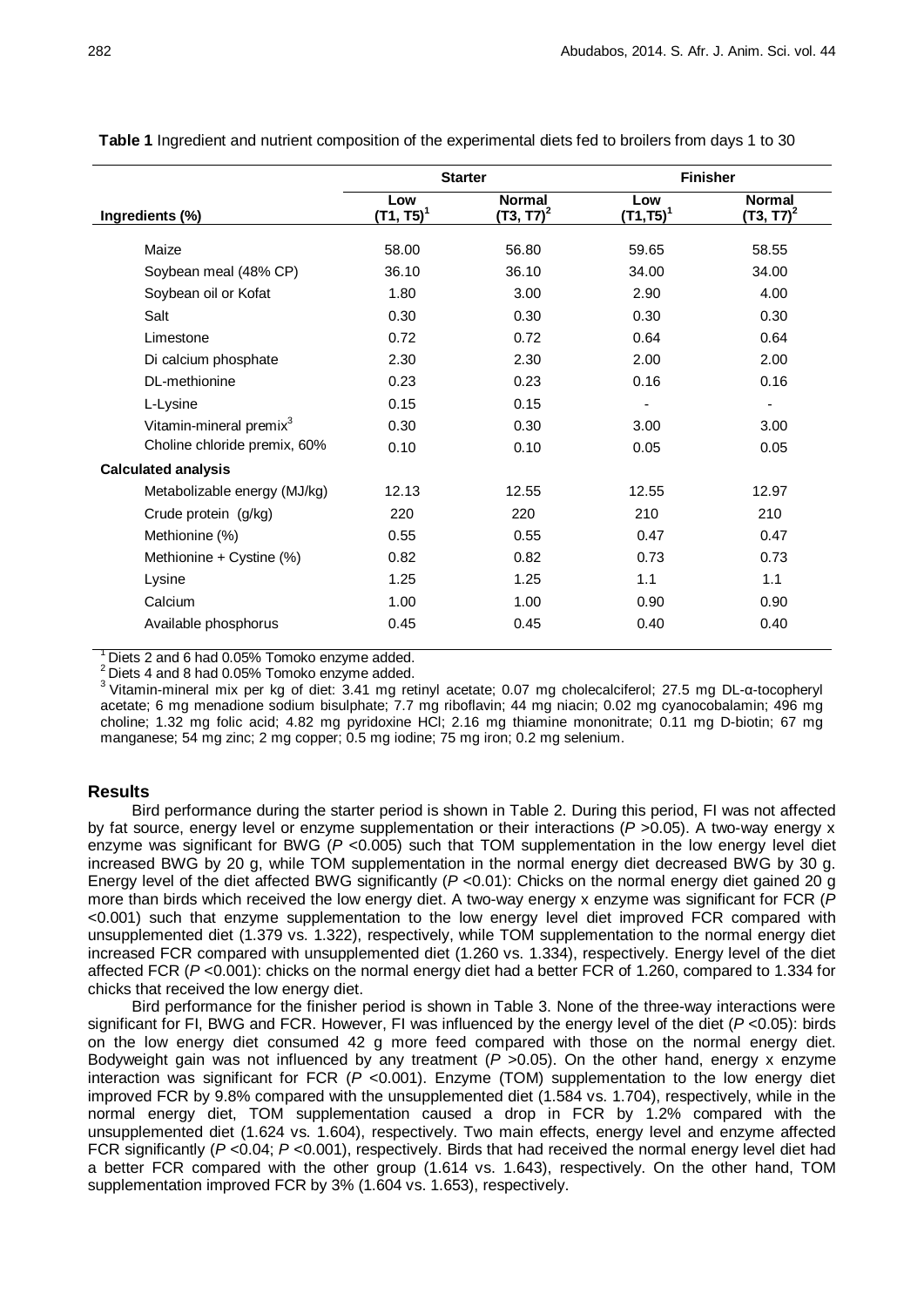|                                     | <b>Starter</b>                                |                                        | <b>Finisher</b>          |                                        |
|-------------------------------------|-----------------------------------------------|----------------------------------------|--------------------------|----------------------------------------|
| Ingredients (%)                     | Low<br>(T1, T5) $^{\rm \scriptscriptstyle 1}$ | <b>Normal</b><br>(T3, T7) <sup>2</sup> | Low<br>(T1,T5) $^1$      | <b>Normal</b><br>(T3, T7) <sup>2</sup> |
| Maize                               | 58.00                                         | 56.80                                  | 59.65                    | 58.55                                  |
| Soybean meal (48% CP)               | 36.10                                         | 36.10                                  | 34.00                    | 34.00                                  |
| Soybean oil or Kofat                | 1.80                                          | 3.00                                   | 2.90                     | 4.00                                   |
| Salt                                | 0.30                                          | 0.30                                   | 0.30                     | 0.30                                   |
| Limestone                           | 0.72                                          | 0.72                                   | 0.64                     | 0.64                                   |
| Di calcium phosphate                | 2.30                                          | 2.30                                   | 2.00                     | 2.00                                   |
| DL-methionine                       | 0.23                                          | 0.23                                   | 0.16                     | 0.16                                   |
| L-Lysine                            | 0.15                                          | 0.15                                   | $\overline{\phantom{a}}$ | $\overline{\phantom{a}}$               |
| Vitamin-mineral premix <sup>3</sup> | 0.30                                          | 0.30                                   | 3.00                     | 3.00                                   |
| Choline chloride premix, 60%        | 0.10                                          | 0.10                                   | 0.05                     | 0.05                                   |
| <b>Calculated analysis</b>          |                                               |                                        |                          |                                        |
| Metabolizable energy (MJ/kg)        | 12.13                                         | 12.55                                  | 12.55                    | 12.97                                  |
| Crude protein (g/kg)                | 220                                           | 220                                    | 210                      | 210                                    |
| Methionine (%)                      | 0.55                                          | 0.55                                   | 0.47                     | 0.47                                   |
| Methionine + Cystine (%)            | 0.82                                          | 0.82                                   | 0.73                     | 0.73                                   |
| Lysine                              | 1.25                                          | 1.25                                   | 1.1                      | 1.1                                    |
| Calcium                             | 1.00                                          | 1.00                                   | 0.90                     | 0.90                                   |
| Available phosphorus                | 0.45                                          | 0.45                                   | 0.40                     | 0.40                                   |

**Table 1** Ingredient and nutrient composition of the experimental diets fed to broilers from days 1 to 30

<sup>1</sup> Diets 2 and 6 had 0.05% Tomoko enzyme added.<br><sup>2</sup> Diets 4 and 8 had 0.05% Tomoko enzyme added.<br><sup>3</sup> Vitamin-mineral mix per kg of diet: 3.41 mg retinyl acetate; 0.07 mg cholecalciferol; 27.5 mg DL-α-tocopheryl acetate; 6 mg menadione sodium bisulphate; 7.7 mg riboflavin; 44 mg niacin; 0.02 mg cyanocobalamin; 496 mg choline; 1.32 mg folic acid; 4.82 mg pyridoxine HCl; 2.16 mg thiamine mononitrate; 0.11 mg D-biotin; 67 mg manganese; 54 mg zinc; 2 mg copper; 0.5 mg iodine; 75 mg iron; 0.2 mg selenium.

# **Results**

Bird performance during the starter period is shown in Table 2. During this period, FI was not affected by fat source, energy level or enzyme supplementation or their interactions (*P* >0.05). A two-way energy x enzyme was significant for BWG (*P* <0.005) such that TOM supplementation in the low energy level diet increased BWG by 20 g, while TOM supplementation in the normal energy diet decreased BWG by 30 g. Energy level of the diet affected BWG significantly (*P* <0.01): Chicks on the normal energy diet gained 20 g more than birds which received the low energy diet. A two-way energy x enzyme was significant for FCR (*P* <0.001) such that enzyme supplementation to the low energy level diet improved FCR compared with unsupplemented diet (1.379 vs. 1.322), respectively, while TOM supplementation to the normal energy diet increased FCR compared with unsupplemented diet (1.260 vs. 1.334), respectively. Energy level of the diet affected FCR (*P* <0.001): chicks on the normal energy diet had a better FCR of 1.260, compared to 1.334 for chicks that received the low energy diet.

Bird performance for the finisher period is shown in Table 3. None of the three-way interactions were significant for FI, BWG and FCR. However, FI was influenced by the energy level of the diet (*P* <0.05): birds on the low energy diet consumed 42 g more feed compared with those on the normal energy diet. Bodyweight gain was not influenced by any treatment (*P* >0.05). On the other hand, energy x enzyme interaction was significant for FCR (*P* <0.001). Enzyme (TOM) supplementation to the low energy diet improved FCR by 9.8% compared with the unsupplemented diet (1.584 vs. 1.704), respectively, while in the normal energy diet, TOM supplementation caused a drop in FCR by 1.2% compared with the unsupplemented diet (1.624 vs. 1.604), respectively. Two main effects, energy level and enzyme affected FCR significantly (*P* <0.04; *P* <0.001), respectively. Birds that had received the normal energy level diet had a better FCR compared with the other group (1.614 vs. 1.643), respectively. On the other hand, TOM supplementation improved FCR by 3% (1.604 vs. 1.653), respectively.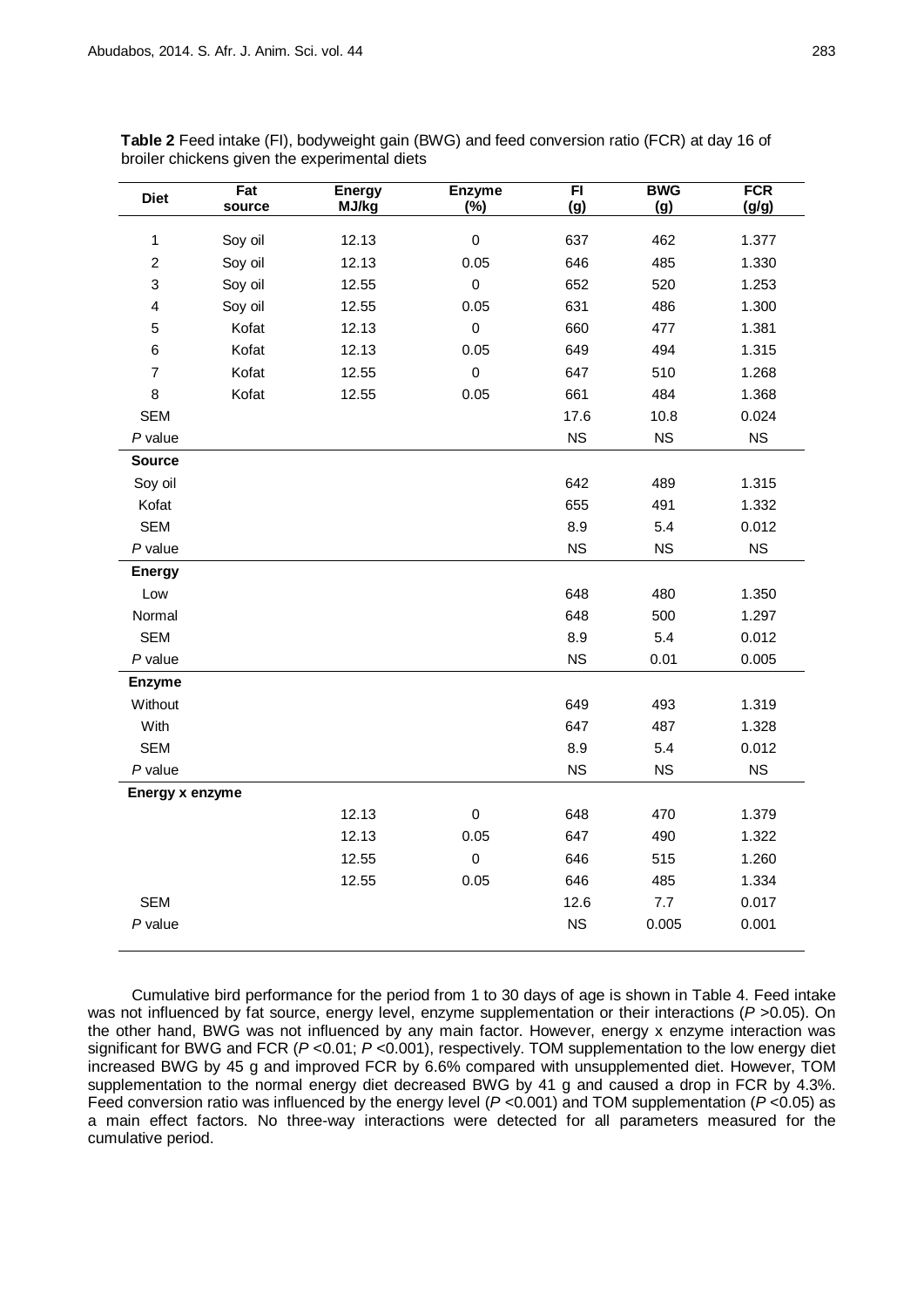| <b>Diet</b>             | Fat<br>source | <b>Energy</b><br>MJ/kg | <b>Enzyme</b><br>(%) | F<br>(g)  | <b>BWG</b><br>(g) | <b>FCR</b><br>(g/g) |
|-------------------------|---------------|------------------------|----------------------|-----------|-------------------|---------------------|
|                         |               |                        |                      |           |                   |                     |
| 1                       | Soy oil       | 12.13                  | $\mathbf 0$          | 637       | 462               | 1.377               |
| $\overline{c}$          | Soy oil       | 12.13                  | 0.05                 | 646       | 485               | 1.330               |
| $\mathsf 3$             | Soy oil       | 12.55                  | $\pmb{0}$            | 652       | 520               | 1.253               |
| $\overline{\mathbf{4}}$ | Soy oil       | 12.55                  | 0.05                 | 631       | 486               | 1.300               |
| $\mathbf 5$             | Kofat         | 12.13                  | $\mathbf 0$          | 660       | 477               | 1.381               |
| $\,6$                   | Kofat         | 12.13                  | 0.05                 | 649       | 494               | 1.315               |
| $\overline{7}$          | Kofat         | 12.55                  | $\mathbf 0$          | 647       | 510               | 1.268               |
| 8                       | Kofat         | 12.55                  | 0.05                 | 661       | 484               | 1.368               |
| <b>SEM</b>              |               |                        |                      | 17.6      | 10.8              | 0.024               |
| $P$ value               |               |                        |                      | <b>NS</b> | <b>NS</b>         | <b>NS</b>           |
| <b>Source</b>           |               |                        |                      |           |                   |                     |
| Soy oil                 |               |                        |                      | 642       | 489               | 1.315               |
| Kofat                   |               |                        |                      | 655       | 491               | 1.332               |
| <b>SEM</b>              |               |                        |                      | 8.9       | 5.4               | 0.012               |
| $P$ value               |               |                        |                      | <b>NS</b> | <b>NS</b>         | <b>NS</b>           |
| Energy                  |               |                        |                      |           |                   |                     |
| Low                     |               |                        |                      | 648       | 480               | 1.350               |
| Normal                  |               |                        |                      | 648       | 500               | 1.297               |
| <b>SEM</b>              |               |                        |                      | 8.9       | 5.4               | 0.012               |
| $P$ value               |               |                        |                      | <b>NS</b> | 0.01              | 0.005               |
| <b>Enzyme</b>           |               |                        |                      |           |                   |                     |
| Without                 |               |                        |                      | 649       | 493               | 1.319               |
| With                    |               |                        |                      | 647       | 487               | 1.328               |
| <b>SEM</b>              |               |                        |                      | 8.9       | 5.4               | 0.012               |
| $P$ value               |               |                        |                      | <b>NS</b> | <b>NS</b>         | NS                  |
| Energy x enzyme         |               |                        |                      |           |                   |                     |
|                         |               | 12.13                  | $\mathbf 0$          | 648       | 470               | 1.379               |
|                         |               | 12.13                  | 0.05                 | 647       | 490               | 1.322               |
|                         |               | 12.55                  | $\mathbf 0$          | 646       | 515               | 1.260               |
|                         |               | 12.55                  | 0.05                 | 646       | 485               | 1.334               |
| <b>SEM</b>              |               |                        |                      | 12.6      | 7.7               | 0.017               |
| $P$ value               |               |                        |                      | <b>NS</b> | 0.005             | 0.001               |

**Table 2** Feed intake (FI), bodyweight gain (BWG) and feed conversion ratio (FCR) at day 16 of broiler chickens given the experimental diets

Cumulative bird performance for the period from 1 to 30 days of age is shown in Table 4. Feed intake was not influenced by fat source, energy level, enzyme supplementation or their interactions (*P* >0.05). On the other hand, BWG was not influenced by any main factor. However, energy x enzyme interaction was significant for BWG and FCR (*P* <0.01; *P* <0.001), respectively. TOM supplementation to the low energy diet increased BWG by 45 g and improved FCR by 6.6% compared with unsupplemented diet. However, TOM supplementation to the normal energy diet decreased BWG by 41 g and caused a drop in FCR by 4.3%. Feed conversion ratio was influenced by the energy level (*P* <0.001) and TOM supplementation (*P* <0.05) as a main effect factors. No three-way interactions were detected for all parameters measured for the cumulative period.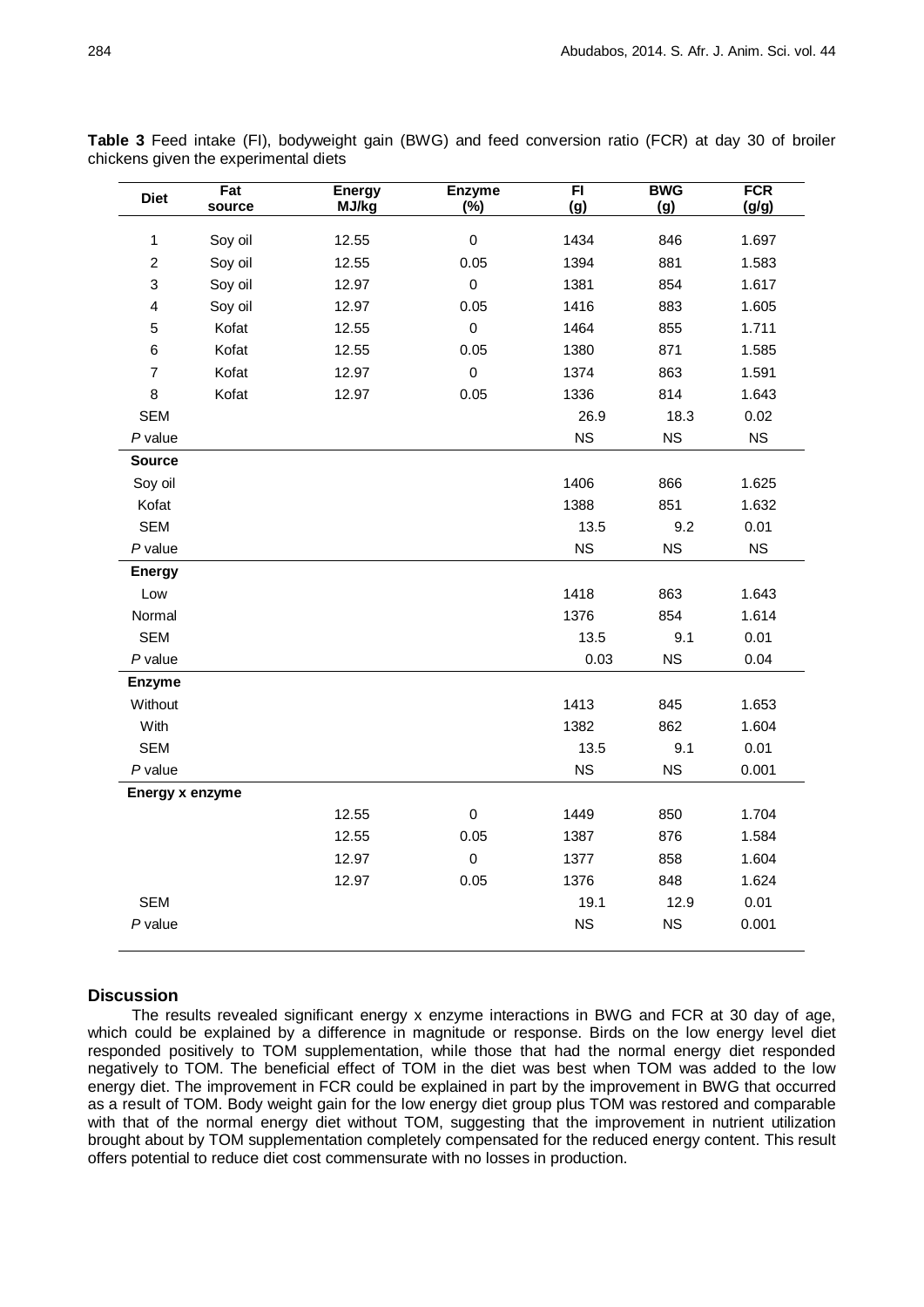| <b>Diet</b>             | Fat<br>source | <b>Energy</b><br>MJ/kg | <b>Enzyme</b><br>(%) | F1<br>(g) | <b>BWG</b><br>(g) | <b>FCR</b><br>(g/g) |
|-------------------------|---------------|------------------------|----------------------|-----------|-------------------|---------------------|
|                         |               |                        |                      |           |                   |                     |
| 1                       | Soy oil       | 12.55                  | $\pmb{0}$            | 1434      | 846               | 1.697               |
| $\overline{2}$          | Soy oil       | 12.55                  | 0.05                 | 1394      | 881               | 1.583               |
| 3                       | Soy oil       | 12.97                  | $\mathbf 0$          | 1381      | 854               | 1.617               |
| $\overline{\mathbf{4}}$ | Soy oil       | 12.97                  | 0.05                 | 1416      | 883               | 1.605               |
| $\mathbf 5$             | Kofat         | 12.55                  | $\pmb{0}$            | 1464      | 855               | 1.711               |
| $\,6\,$                 | Kofat         | 12.55                  | 0.05                 | 1380      | 871               | 1.585               |
| $\overline{7}$          | Kofat         | 12.97                  | $\pmb{0}$            | 1374      | 863               | 1.591               |
| $\bf 8$                 | Kofat         | 12.97                  | 0.05                 | 1336      | 814               | 1.643               |
| <b>SEM</b>              |               |                        |                      | 26.9      | 18.3              | 0.02                |
| $P$ value               |               |                        |                      | <b>NS</b> | <b>NS</b>         | NS                  |
| <b>Source</b>           |               |                        |                      |           |                   |                     |
| Soy oil                 |               |                        |                      | 1406      | 866               | 1.625               |
| Kofat                   |               |                        |                      | 1388      | 851               | 1.632               |
| <b>SEM</b>              |               |                        |                      | 13.5      | 9.2               | 0.01                |
| $P$ value               |               |                        |                      | <b>NS</b> | <b>NS</b>         | NS                  |
| Energy                  |               |                        |                      |           |                   |                     |
| Low                     |               |                        |                      | 1418      | 863               | 1.643               |
| Normal                  |               |                        |                      | 1376      | 854               | 1.614               |
| <b>SEM</b>              |               |                        |                      | 13.5      | 9.1               | 0.01                |
| $P$ value               |               |                        |                      | 0.03      | <b>NS</b>         | 0.04                |
| <b>Enzyme</b>           |               |                        |                      |           |                   |                     |
| Without                 |               |                        |                      | 1413      | 845               | 1.653               |
| With                    |               |                        |                      | 1382      | 862               | 1.604               |
| <b>SEM</b>              |               |                        |                      | 13.5      | 9.1               | 0.01                |
| $P$ value               |               |                        |                      | <b>NS</b> | <b>NS</b>         | 0.001               |
| Energy x enzyme         |               |                        |                      |           |                   |                     |
|                         |               | 12.55                  | $\pmb{0}$            | 1449      | 850               | 1.704               |
|                         |               | 12.55                  | 0.05                 | 1387      | 876               | 1.584               |
|                         |               | 12.97                  | $\mathbf 0$          | 1377      | 858               | 1.604               |
|                         |               | 12.97                  | 0.05                 | 1376      | 848               | 1.624               |
| <b>SEM</b>              |               |                        |                      | 19.1      | 12.9              | 0.01                |
| $P$ value               |               |                        |                      | <b>NS</b> | <b>NS</b>         | 0.001               |

**Table 3** Feed intake (FI), bodyweight gain (BWG) and feed conversion ratio (FCR) at day 30 of broiler chickens given the experimental diets

## **Discussion**

The results revealed significant energy x enzyme interactions in BWG and FCR at 30 day of age, which could be explained by a difference in magnitude or response. Birds on the low energy level diet responded positively to TOM supplementation, while those that had the normal energy diet responded negatively to TOM. The beneficial effect of TOM in the diet was best when TOM was added to the low energy diet. The improvement in FCR could be explained in part by the improvement in BWG that occurred as a result of TOM. Body weight gain for the low energy diet group plus TOM was restored and comparable with that of the normal energy diet without TOM, suggesting that the improvement in nutrient utilization brought about by TOM supplementation completely compensated for the reduced energy content. This result offers potential to reduce diet cost commensurate with no losses in production.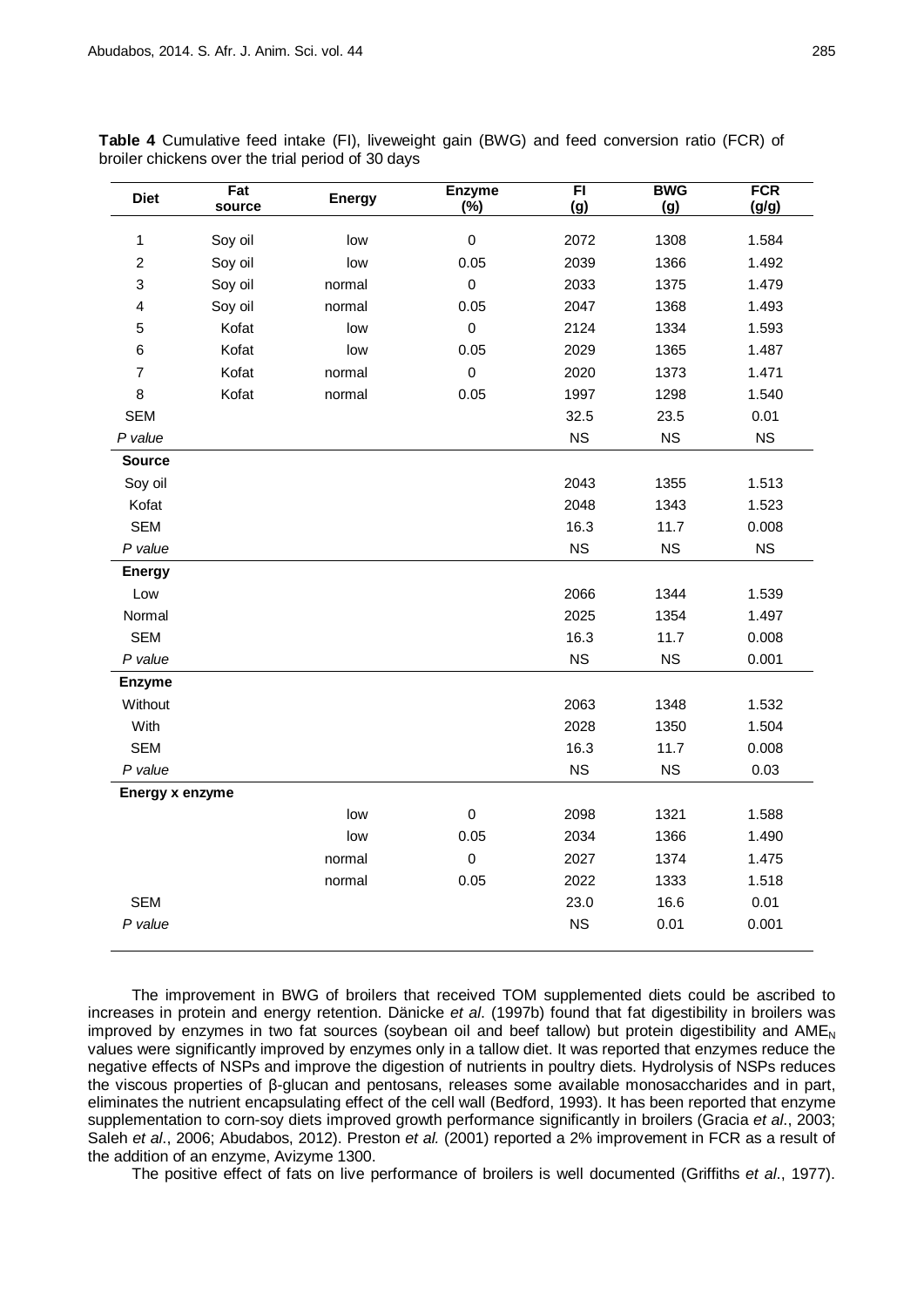| Table 4 Cumulative feed intake (FI), liveweight gain (BWG) and feed conversion ratio (FCR) of |  |  |  |
|-----------------------------------------------------------------------------------------------|--|--|--|
| broiler chickens over the trial period of 30 days                                             |  |  |  |

| <b>Diet</b>             | Fat<br>source | Energy | <b>Enzyme</b><br>(%) | F1<br>(g)   | <b>BWG</b><br>(g) | <b>FCR</b><br>(g/g) |
|-------------------------|---------------|--------|----------------------|-------------|-------------------|---------------------|
|                         |               |        |                      |             |                   |                     |
| 1                       | Soy oil       | low    | $\mathbf 0$          | 2072        | 1308              | 1.584               |
| $\boldsymbol{2}$        | Soy oil       | low    | 0.05                 | 2039        | 1366              | 1.492               |
| $\mathbf{3}$            | Soy oil       | normal | $\pmb{0}$            | 2033        | 1375              | 1.479               |
| $\overline{\mathbf{4}}$ | Soy oil       | normal | 0.05                 | 2047        | 1368              | 1.493               |
| $\mathbf 5$             | Kofat         | low    | $\mathbf 0$          | 2124        | 1334              | 1.593               |
| $\,6$                   | Kofat         | low    | 0.05                 | 2029        | 1365              | 1.487               |
| $\overline{7}$          | Kofat         | normal | $\boldsymbol{0}$     | 2020        | 1373              | 1.471               |
| 8                       | Kofat         | normal | 0.05                 | 1997        | 1298              | 1.540               |
| <b>SEM</b>              |               |        |                      | 32.5        | 23.5              | 0.01                |
| P value                 |               |        |                      | <b>NS</b>   | <b>NS</b>         | <b>NS</b>           |
| <b>Source</b>           |               |        |                      |             |                   |                     |
| Soy oil                 |               |        |                      | 2043        | 1355              | 1.513               |
| Kofat                   |               |        |                      | 2048        | 1343              | 1.523               |
| <b>SEM</b>              |               |        |                      | 16.3        | 11.7              | 0.008               |
| P value                 |               |        |                      | <b>NS</b>   | NS                | <b>NS</b>           |
| <b>Energy</b>           |               |        |                      |             |                   |                     |
| Low                     |               |        |                      | 2066        | 1344              | 1.539               |
| Normal                  |               |        |                      | 2025        | 1354              | 1.497               |
| <b>SEM</b>              |               |        |                      | 16.3        | 11.7              | 0.008               |
| P value                 |               |        |                      | <b>NS</b>   | <b>NS</b>         | 0.001               |
| <b>Enzyme</b>           |               |        |                      |             |                   |                     |
| Without                 |               |        |                      | 2063        | 1348              | 1.532               |
| With                    |               |        |                      | 2028        | 1350              | 1.504               |
| <b>SEM</b>              |               |        |                      | 16.3        | 11.7              | 0.008               |
| P value                 |               |        |                      | $_{\rm NS}$ | NS                | 0.03                |
| Energy x enzyme         |               |        |                      |             |                   |                     |
|                         |               | low    | $\pmb{0}$            | 2098        | 1321              | 1.588               |
|                         |               | low    | 0.05                 | 2034        | 1366              | 1.490               |
|                         |               | normal | $\mathbf 0$          | 2027        | 1374              | 1.475               |
|                         |               | normal | 0.05                 | 2022        | 1333              | 1.518               |
| <b>SEM</b>              |               |        |                      | 23.0        | 16.6              | 0.01                |
| P value                 |               |        |                      | <b>NS</b>   | 0.01              | 0.001               |
|                         |               |        |                      |             |                   |                     |

The improvement in BWG of broilers that received TOM supplemented diets could be ascribed to increases in protein and energy retention. Dänicke *et al*. (1997b) found that fat digestibility in broilers was improved by enzymes in two fat sources (soybean oil and beef tallow) but protein digestibility and  $AME_N$ values were significantly improved by enzymes only in a tallow diet. It was reported that enzymes reduce the negative effects of NSPs and improve the digestion of nutrients in poultry diets. Hydrolysis of NSPs reduces the viscous properties of β-glucan and pentosans, releases some available monosaccharides and in part, eliminates the nutrient encapsulating effect of the cell wall (Bedford, 1993). It has been reported that enzyme supplementation to corn-soy diets improved growth performance significantly in broilers (Gracia *et al*., 2003; Saleh *et al*., 2006; Abudabos, 2012). Preston *et al.* (2001) reported a 2% improvement in FCR as a result of the addition of an enzyme, Avizyme 1300.

The positive effect of fats on live performance of broilers is well documented (Griffiths *et al*., 1977).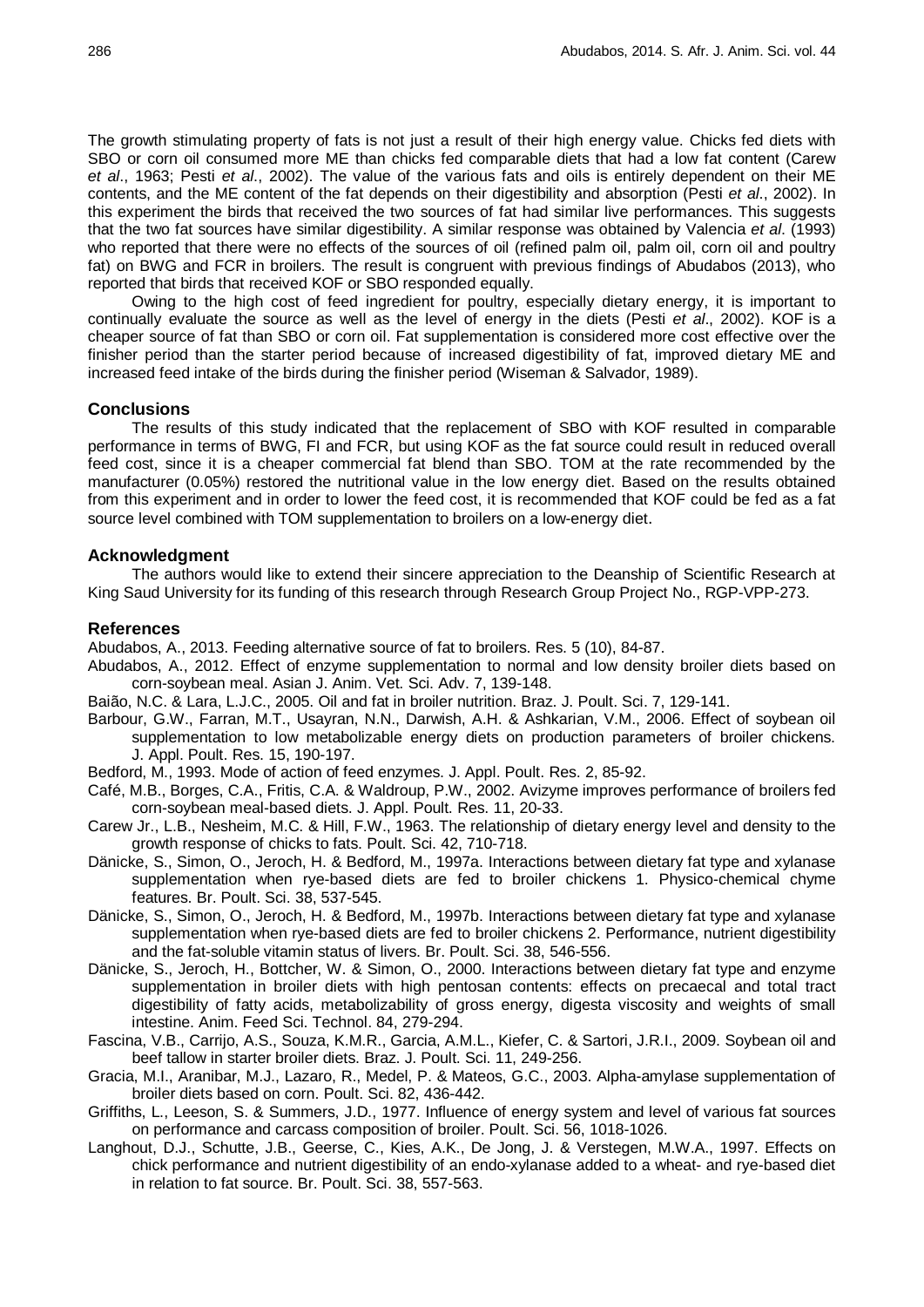The growth stimulating property of fats is not just a result of their high energy value. Chicks fed diets with SBO or corn oil consumed more ME than chicks fed comparable diets that had a low fat content (Carew *et al*., 1963; Pesti *et al*., 2002). The value of the various fats and oils is entirely dependent on their ME contents, and the ME content of the fat depends on their digestibility and absorption (Pesti *et al*., 2002). In this experiment the birds that received the two sources of fat had similar live performances. This suggests that the two fat sources have similar digestibility. A similar response was obtained by Valencia *et al*. (1993) who reported that there were no effects of the sources of oil (refined palm oil, palm oil, corn oil and poultry fat) on BWG and FCR in broilers. The result is congruent with previous findings of Abudabos (2013), who reported that birds that received KOF or SBO responded equally.

Owing to the high cost of feed ingredient for poultry, especially dietary energy, it is important to continually evaluate the source as well as the level of energy in the diets (Pesti *et al*., 2002). KOF is a cheaper source of fat than SBO or corn oil. Fat supplementation is considered more cost effective over the finisher period than the starter period because of increased digestibility of fat, improved dietary ME and increased feed intake of the birds during the finisher period (Wiseman & Salvador, 1989).

### **Conclusions**

The results of this study indicated that the replacement of SBO with KOF resulted in comparable performance in terms of BWG, FI and FCR, but using KOF as the fat source could result in reduced overall feed cost, since it is a cheaper commercial fat blend than SBO. TOM at the rate recommended by the manufacturer (0.05%) restored the nutritional value in the low energy diet. Based on the results obtained from this experiment and in order to lower the feed cost, it is recommended that KOF could be fed as a fat source level combined with TOM supplementation to broilers on a low-energy diet.

### **Acknowledgment**

The authors would like to extend their sincere appreciation to the Deanship of Scientific Research at King Saud University for its funding of this research through Research Group Project No., RGP-VPP-273.

# **References**

Abudabos, A., 2013. Feeding alternative source of fat to broilers. Res. 5 (10), 84-87.

- Abudabos, A., 2012. Effect of enzyme supplementation to normal and low density broiler diets based on corn-soybean meal. Asian J. Anim. Vet. Sci. Adv. 7, 139-148.
- Baião, N.C. & Lara, L.J.C., 2005. Oil and fat in broiler nutrition. Braz. J. Poult. Sci. 7, 129-141.
- Barbour, G.W., Farran, M.T., Usayran, N.N., Darwish, A.H. & Ashkarian, V.M., 2006. Effect of soybean oil supplementation to low metabolizable energy diets on production parameters of broiler chickens. J. Appl. Poult. Res. 15, 190-197.
- Bedford, M., 1993. Mode of action of feed enzymes. J. Appl. Poult. Res. 2, 85-92.
- Café, M.B., Borges, C.A., Fritis, C.A. & Waldroup, P.W., 2002. Avizyme improves performance of broilers fed corn-soybean meal-based diets. J. Appl. Poult. Res. 11, 20-33.
- Carew Jr., L.B., Nesheim, M.C. & Hill, F.W., 1963. The relationship of dietary energy level and density to the growth response of chicks to fats. Poult. Sci. 42, 710-718.
- Dänicke, S., Simon, O., Jeroch, H. & Bedford, M., 1997a. Interactions between dietary fat type and xylanase supplementation when rye-based diets are fed to broiler chickens 1. Physico-chemical chyme features. Br. Poult. Sci. 38, 537-545.
- Dänicke, S., Simon, O., Jeroch, H. & Bedford, M., 1997b. Interactions between dietary fat type and xylanase supplementation when rye-based diets are fed to broiler chickens 2. Performance, nutrient digestibility and the fat-soluble vitamin status of livers. Br. Poult. Sci. 38, 546-556.
- Dänicke, S., Jeroch, H., Bottcher, W. & Simon, O., 2000. Interactions between dietary fat type and enzyme supplementation in broiler diets with high pentosan contents: effects on precaecal and total tract digestibility of fatty acids, metabolizability of gross energy, digesta viscosity and weights of small intestine. Anim. Feed Sci. Technol. 84, 279-294.
- Fascina, V.B., Carrijo, A.S., Souza, K.M.R., Garcia, A.M.L., Kiefer, C. & Sartori, J.R.I., 2009. Soybean oil and beef tallow in starter broiler diets. Braz. J. Poult. Sci. 11, 249-256.
- Gracia, M.I., Aranibar, M.J., Lazaro, R., Medel, P. & Mateos, G.C., 2003. Alpha-amylase supplementation of broiler diets based on corn. Poult. Sci. 82, 436-442.
- Griffiths, L., Leeson, S. & Summers, J.D., 1977. Influence of energy system and level of various fat sources on performance and carcass composition of broiler. Poult. Sci. 56, 1018-1026.
- Langhout, D.J., Schutte, J.B., Geerse, C., Kies, A.K., De Jong, J. & Verstegen, M.W.A., 1997. Effects on chick performance and nutrient digestibility of an endo-xylanase added to a wheat- and rye-based diet in relation to fat source. Br. Poult. Sci. 38, 557-563.